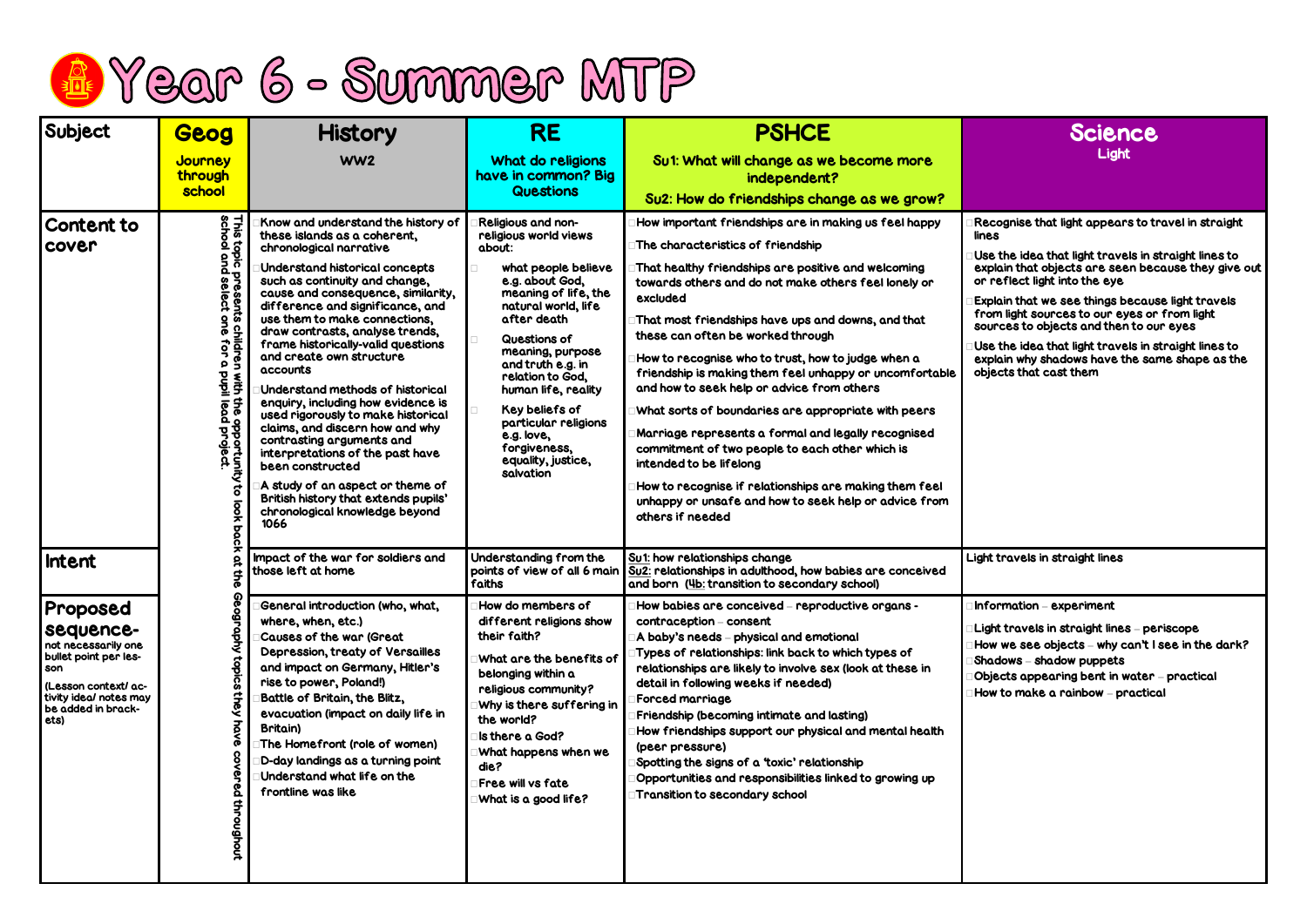

ecognise that light appears to travel in straight lines

 $\mathbf s$ e the idea that light travels in straight lines to plain that objects are seen because they give out  $\vert$ reflect light into the eye

plain that we see things because light travels om light sources to our eyes or from light  ${\sf U}{\sf rce}\bar{\sf s}$  to objects and then to our eyes  $\bar{\sf l}$ 

 $\mathbf s$ e the idea that light travels in straight lines to plain why shadows have the same shape as the:  $\dot{\mathbf{e}}$ ects that cast them

t travels in straight lines

 $\delta$ ormation – experiment

ght travels in straight lines – periscope

w we see objects – why can't I see in the dark?  $\texttt{adows} - \texttt{shadow}$  puppets

 $\delta$ jects appearing bent in water – practical

w to make a rainbow – practical



| Subject                                                                                                                                                      | <b>Geog</b>                                                                                                                         | <b>History</b>                                                                                                                                                                                                                                                                                                                                                                                                                                                                                                                                                                                                                                                                                                                                              | <b>RE</b>                                                                                                                                                                                                                                                                                                                                                                    | <b>PSHCE</b>                                                                                                                                                                                                                                                                                                                                                                                                                                                                                                                                                                                                                                                                                                                                                                                                              |                                                                                             |
|--------------------------------------------------------------------------------------------------------------------------------------------------------------|-------------------------------------------------------------------------------------------------------------------------------------|-------------------------------------------------------------------------------------------------------------------------------------------------------------------------------------------------------------------------------------------------------------------------------------------------------------------------------------------------------------------------------------------------------------------------------------------------------------------------------------------------------------------------------------------------------------------------------------------------------------------------------------------------------------------------------------------------------------------------------------------------------------|------------------------------------------------------------------------------------------------------------------------------------------------------------------------------------------------------------------------------------------------------------------------------------------------------------------------------------------------------------------------------|---------------------------------------------------------------------------------------------------------------------------------------------------------------------------------------------------------------------------------------------------------------------------------------------------------------------------------------------------------------------------------------------------------------------------------------------------------------------------------------------------------------------------------------------------------------------------------------------------------------------------------------------------------------------------------------------------------------------------------------------------------------------------------------------------------------------------|---------------------------------------------------------------------------------------------|
|                                                                                                                                                              | Journey<br>through<br>school                                                                                                        | WW <sub>2</sub>                                                                                                                                                                                                                                                                                                                                                                                                                                                                                                                                                                                                                                                                                                                                             | <b>What do religions</b><br>have in common? Big<br><b>Questions</b>                                                                                                                                                                                                                                                                                                          | Su1: What will change as we become more<br>independent?<br>Su2: How do friendships change as we grow?                                                                                                                                                                                                                                                                                                                                                                                                                                                                                                                                                                                                                                                                                                                     |                                                                                             |
| <b>Content to</b><br>cover                                                                                                                                   | This to<br>School<br>pic p<br>doid<br>presents chi<br>presents chi<br>ildren<br>for a l<br>しきこと<br>the opportunity<br>Iead project. | Know and understand the history of<br>these islands as a coherent,<br>chronological narrative<br>Understand historical concepts<br>such as continuity and change,<br>cause and consequence, similarity,<br>difference and significance, and<br>use them to make connections,<br>draw contrasts, analyse trends,<br>frame historically-valid questions<br>and create own structure<br>accounts<br>Understand methods of historical<br>enquiry, including how evidence is<br>used rigorously to make historical<br>claims, and discern how and why<br>contrasting arguments and<br>interpretations of the past have<br>been constructed<br>A study of an aspect or theme of<br>British history that extends pupils'<br>chronological knowledge beyond<br>1066 | Religious and non-<br>religious world views<br>about:<br>what people believe<br>e.g. about God,<br>meaning of life, the<br>natural world, life<br>after death<br>Questions of<br>meaning, purpose<br>and truth e.g. in<br>relation to God,<br>human life, reality<br>Key beliefs of<br>particular religions<br>e.g. love,<br>forgiveness,<br>equality, justice,<br>salvation | How important friendships are in making us feel happy<br>$\Box$ The characteristics of friendship<br>That healthy friendships are positive and welcoming<br>towards others and do not make others feel lonely or<br>excluded<br>That most friendships have ups and downs, and that<br>these can often be worked through<br>How to recognise who to trust, how to judge when a<br>friendship is making them feel unhappy or uncomfortable<br>and how to seek help or advice from others<br>What sorts of boundaries are appropriate with peers<br>Marriage represents a formal and legally recognised<br>commitment of two people to each other which is<br>intended to be lifelong<br>How to recognise if relationships are making them feel<br>unhappy or unsafe and how to seek help or advice from<br>others if needed | <b>Re</b><br>line<br><b>Us</b><br>exp<br>o۴<br>Exp<br>frc<br>SOL<br><b>Us</b><br>exp<br>obj |
| Intent                                                                                                                                                       |                                                                                                                                     | Impact of the war for soldiers and<br>those left at home                                                                                                                                                                                                                                                                                                                                                                                                                                                                                                                                                                                                                                                                                                    | Understanding from the<br>points of view of all 6 main<br>faiths                                                                                                                                                                                                                                                                                                             | Su1: how relationships change<br>Su2: relationships in adulthood, how babies are conceived<br>and born (4b: transition to secondary school)                                                                                                                                                                                                                                                                                                                                                                                                                                                                                                                                                                                                                                                                               | Light                                                                                       |
| Proposed<br>sequence-<br>not necessarily one<br>bullet point per les-<br>son<br>(Lesson context/ ac-<br>tivity ideal notes may<br>be added in brack-<br>ets) | ography<br>topics<br>they<br>ह<br>P                                                                                                 | General introduction (who, what,<br>where, when, etc.)<br>Causes of the war (Great<br>Depression, treaty of Versailles<br>and impact on Germany, Hitler's<br>rise to power, Poland!)<br>Battle of Britain, the Blitz,<br>evacuation (impact on daily life in<br>Britain)<br>The Homefront (role of women)<br>D-day landings as a turning point<br>Understand what life on the<br>frontline was like                                                                                                                                                                                                                                                                                                                                                         | How do members of<br>different religions show<br>their faith?<br>What are the benefits of<br>belonging within a<br>religious community?<br>Why is there suffering in<br>the world?<br>Is there a God?<br>What happens when we<br>die?<br>Free will vs fate<br>What is a good life?                                                                                           | How babies are conceived – reproductive organs -<br>contraception - consent<br>A baby's needs – physical and emotional<br>Types of relationships: link back to which types of<br>relationships are likely to involve sex (look at these in<br>detail in following weeks if needed)<br>Forced marriage<br>Friendship (becoming intimate and lasting)<br>How friendships support our physical and mental health<br>(peer pressure)<br>Spotting the signs of a 'toxic' relationship<br>Opportunities and responsibilities linked to growing up<br>Transition to secondary school                                                                                                                                                                                                                                             | $\Box$ Inf<br>Lig<br>Ho<br>Sho<br>Ob<br>Ho                                                  |